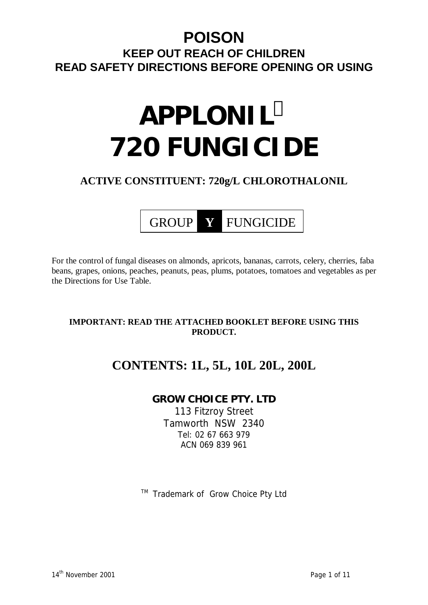# **POISON KEEP OUT REACH OF CHILDREN READ SAFETY DIRECTIONS BEFORE OPENING OR USING**

# **APPLONIL<sup>Ô</sup> 720 FUNGICIDE**

## **ACTIVE CONSTITUENT: 720g/L CHLOROTHALONIL**



For the control of fungal diseases on almonds, apricots, bananas, carrots, celery, cherries, faba beans, grapes, onions, peaches, peanuts, peas, plums, potatoes, tomatoes and vegetables as per the Directions for Use Table.

## **IMPORTANT: READ THE ATTACHED BOOKLET BEFORE USING THIS PRODUCT.**

# **CONTENTS: 1L, 5L, 10L 20L, 200L**

## **GROW CHOICE PTY. LTD**

113 Fitzroy Street Tamworth NSW 2340 Tel: 02 67 663 979 ACN 069 839 961

™ Trademark of Grow Choice Pty Ltd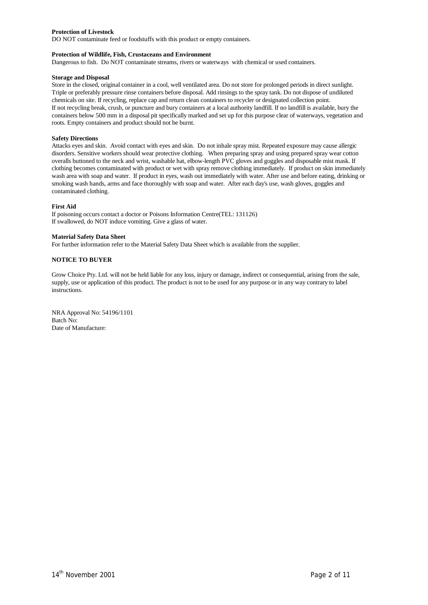#### **Protection of Livestock**

DO NOT contaminate feed or foodstuffs with this product or empty containers.

#### **Protection of Wildlife, Fish, Crustaceans and Environment**

Dangerous to fish. Do NOT contaminate streams, rivers or waterways with chemical or used containers.

#### **Storage and Disposal**

Store in the closed, original container in a cool, well ventilated area. Do not store for prolonged periods in direct sunlight. Triple or preferably pressure rinse containers before disposal. Add rinsings to the spray tank. Do not dispose of undiluted chemicals on site. If recycling, replace cap and return clean containers to recycler or designated collection point. If not recycling break, crush, or puncture and bury containers at a local authority landfill. If no landfill is available, bury the containers below 500 mm in a disposal pit specifically marked and set up for this purpose clear of waterways, vegetation and roots. Empty containers and product should not be burnt.

#### **Safety Directions**

Attacks eyes and skin. Avoid contact with eyes and skin. Do not inhale spray mist. Repeated exposure may cause allergic disorders. Sensitive workers should wear protective clothing. When preparing spray and using prepared spray wear cotton overalls buttoned to the neck and wrist, washable hat, elbow-length PVC gloves and goggles and disposable mist mask. If clothing becomes contaminated with product or wet with spray remove clothing immediately. If product on skin immediately wash area with soap and water. If product in eyes, wash out immediately with water. After use and before eating, drinking or smoking wash hands, arms and face thoroughly with soap and water. After each day's use, wash gloves, goggles and contaminated clothing.

#### **First Aid**

If poisoning occurs contact a doctor or Poisons Information Centre(TEL: 131126) If swallowed, do NOT induce vomiting. Give a glass of water.

#### **Material Safety Data Sheet**

For further information refer to the Material Safety Data Sheet which is available from the supplier.

#### **NOTICE TO BUYER**

Grow Choice Pty. Ltd. will not be held liable for any loss, injury or damage, indirect or consequential, arising from the sale, supply, use or application of this product. The product is not to be used for any purpose or in any way contrary to label instructions.

NRA Approval No: 54196/1101 Batch No: Date of Manufacture: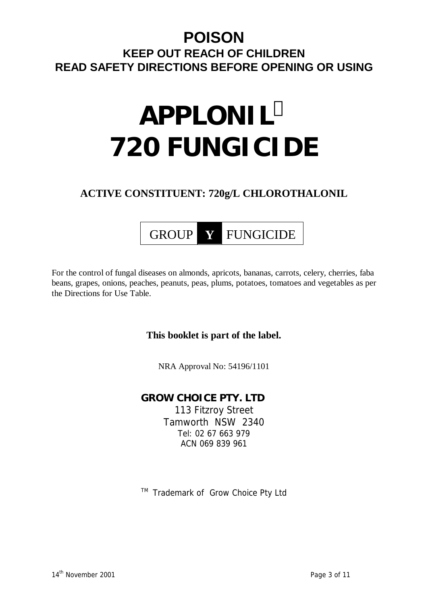# **POISON KEEP OUT REACH OF CHILDREN READ SAFETY DIRECTIONS BEFORE OPENING OR USING**

# **APPLONIL<sup>Ô</sup> 720 FUNGICIDE**

# **ACTIVE CONSTITUENT: 720g/L CHLOROTHALONIL**



For the control of fungal diseases on almonds, apricots, bananas, carrots, celery, cherries, faba beans, grapes, onions, peaches, peanuts, peas, plums, potatoes, tomatoes and vegetables as per the Directions for Use Table.

## **This booklet is part of the label.**

NRA Approval No: 54196/1101

## **GROW CHOICE PTY. LTD**  113 Fitzroy Street Tamworth NSW 2340 Tel: 02 67 663 979 ACN 069 839 961

™ Trademark of Grow Choice Pty Ltd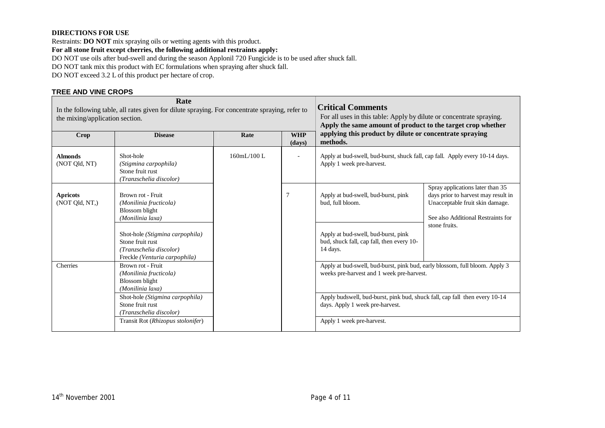#### **DIRECTIONS FOR USE**

Restraints: **DO NOT** mix spraying oils or wetting agents with this product.

**For all stone fruit except cherries, the following additional restraints apply:** 

DO NOT use oils after bud-swell and during the season Applonil 720 Fungicide is to be used after shuck fall.

DO NOT tank mix this product with EC formulations when spraying after shuck fall.

DO NOT exceed 3.2 L of this product per hectare of crop.

#### **TREE AND VINE CROPS**

| Rate<br>In the following table, all rates given for dilute spraying. For concentrate spraying, refer to<br>the mixing/application section. |                                                                                                                 |            | <b>Critical Comments</b><br>For all uses in this table: Apply by dilute or concentrate spraying.<br>Apply the same amount of product to the target crop whether |                                                                                                                          |                                                                                                                                                                   |  |
|--------------------------------------------------------------------------------------------------------------------------------------------|-----------------------------------------------------------------------------------------------------------------|------------|-----------------------------------------------------------------------------------------------------------------------------------------------------------------|--------------------------------------------------------------------------------------------------------------------------|-------------------------------------------------------------------------------------------------------------------------------------------------------------------|--|
| Crop                                                                                                                                       | <b>Disease</b>                                                                                                  | Rate       | <b>WHP</b><br>(days)                                                                                                                                            | applying this product by dilute or concentrate spraying<br>methods.                                                      |                                                                                                                                                                   |  |
| <b>Almonds</b><br>(NOT Qld, NT)                                                                                                            | Shot-hole<br>(Stigmina carpophila)<br>Stone fruit rust<br>(Tranzschelia discolor)                               | 160mL/100L | $\overline{\phantom{0}}$                                                                                                                                        | Apply at bud-swell, bud-burst, shuck fall, cap fall. Apply every 10-14 days.<br>Apply 1 week pre-harvest.                |                                                                                                                                                                   |  |
| <b>Apricots</b><br>(NOT Qld, NT,)                                                                                                          | Brown rot - Fruit<br>(Monilinia fructicola)<br><b>Blossom</b> blight<br>(Monilinia laxa)                        |            | 7                                                                                                                                                               | Apply at bud-swell, bud-burst, pink<br>bud, full bloom.                                                                  | Spray applications later than 35<br>days prior to harvest may result in<br>Unacceptable fruit skin damage.<br>See also Additional Restraints for<br>stone fruits. |  |
|                                                                                                                                            | Shot-hole (Stigmina carpophila)<br>Stone fruit rust<br>(Tranzschelia discolor)<br>Freckle (Venturia carpophila) |            |                                                                                                                                                                 | Apply at bud-swell, bud-burst, pink<br>bud, shuck fall, cap fall, then every 10-<br>14 days.                             |                                                                                                                                                                   |  |
| Cherries                                                                                                                                   | Brown rot - Fruit<br>(Monilinia fructicola)<br><b>Blossom</b> blight<br>(Monilinia laxa)                        |            |                                                                                                                                                                 | Apply at bud-swell, bud-burst, pink bud, early blossom, full bloom. Apply 3<br>weeks pre-harvest and 1 week pre-harvest. |                                                                                                                                                                   |  |
|                                                                                                                                            | Shot-hole (Stigmina carpophila)<br>Stone fruit rust<br>(Tranzschelia discolor)                                  |            |                                                                                                                                                                 | Apply budswell, bud-burst, pink bud, shuck fall, cap fall then every 10-14<br>days. Apply 1 week pre-harvest.            |                                                                                                                                                                   |  |
|                                                                                                                                            | Transit Rot (Rhizopus stolonifer)                                                                               |            |                                                                                                                                                                 | Apply 1 week pre-harvest.                                                                                                |                                                                                                                                                                   |  |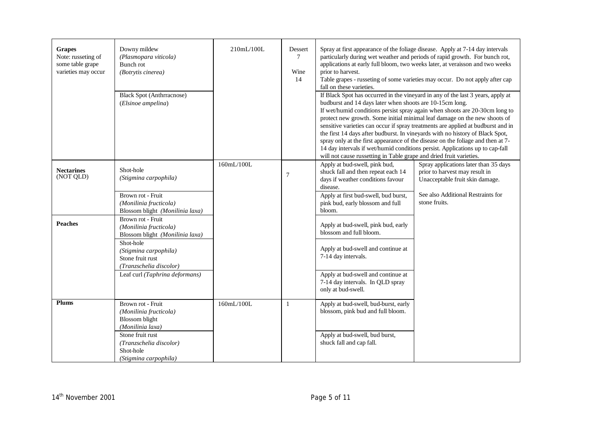| <b>Grapes</b><br>Note: russeting of<br>some table grape<br>varieties may occur | Downy mildew<br>(Plasmopara viticola)<br>Bunch rot<br>(Botrytis cinerea)<br><b>Black Spot (Anthrracnose)</b><br>(Elsinoe ampelina)                                                                    | 210mL/100L | Dessert<br>7<br>Wine<br>14 | prior to harvest.<br>fall on these varieties.<br>budburst and 14 days later when shoots are 10-15cm long.<br>will not cause russetting in Table grape and dried fruit varieties.                                            | Spray at first appearance of the foliage disease. Apply at 7-14 day intervals<br>particularly during wet weather and periods of rapid growth. For bunch rot,<br>applications at early full bloom, two weeks later, at veraisson and two weeks<br>Table grapes - russeting of some varieties may occur. Do not apply after cap<br>If Black Spot has occurred in the vineyard in any of the last 3 years, apply at<br>If wet/humid conditions persist spray again when shoots are 20-30cm long to<br>protect new growth. Some initial minimal leaf damage on the new shoots of<br>sensitive varieties can occur if spray treatments are applied at budburst and in<br>the first 14 days after budburst. In vineyards with no history of Black Spot,<br>spray only at the first appearance of the disease on the foliage and then at 7-<br>14 day intervals if wet/humid conditions persist. Applications up to cap-fall |
|--------------------------------------------------------------------------------|-------------------------------------------------------------------------------------------------------------------------------------------------------------------------------------------------------|------------|----------------------------|-----------------------------------------------------------------------------------------------------------------------------------------------------------------------------------------------------------------------------|-----------------------------------------------------------------------------------------------------------------------------------------------------------------------------------------------------------------------------------------------------------------------------------------------------------------------------------------------------------------------------------------------------------------------------------------------------------------------------------------------------------------------------------------------------------------------------------------------------------------------------------------------------------------------------------------------------------------------------------------------------------------------------------------------------------------------------------------------------------------------------------------------------------------------|
| <b>Nectarines</b><br>(NOT QLD)                                                 | Shot-hole<br>(Stigmina carpophila)<br>Brown rot - Fruit<br>(Monilinia fructicola)<br>Blossom blight (Monilinia laxa)                                                                                  | 160mL/100L | $\overline{7}$             | Apply at bud-swell, pink bud,<br>shuck fall and then repeat each 14<br>days if weather conditions favour<br>disease.<br>Apply at first bud-swell, bud burst,<br>pink bud, early blossom and full<br>bloom.                  | Spray applications later than 35 days<br>prior to harvest may result in<br>Unacceptable fruit skin damage.<br>See also Additional Restraints for<br>stone fruits.                                                                                                                                                                                                                                                                                                                                                                                                                                                                                                                                                                                                                                                                                                                                                     |
| <b>Peaches</b>                                                                 | Brown rot - Fruit<br>(Monilinia fructicola)<br>Blossom blight (Monilinia laxa)<br>Shot-hole<br>(Stigmina carpophila)<br>Stone fruit rust<br>(Tranzschelia discolor)<br>Leaf curl (Taphrina deformans) |            |                            | Apply at bud-swell, pink bud, early<br>blossom and full bloom.<br>Apply at bud-swell and continue at<br>7-14 day intervals.<br>Apply at bud-swell and continue at<br>7-14 day intervals. In QLD spray<br>only at bud-swell. |                                                                                                                                                                                                                                                                                                                                                                                                                                                                                                                                                                                                                                                                                                                                                                                                                                                                                                                       |
| <b>Plums</b>                                                                   | Brown rot - Fruit<br>(Monilinia fructicola)<br><b>Blossom</b> blight<br>(Monilinia laxa)<br>Stone fruit rust<br>(Tranzschelia discolor)<br>Shot-hole<br>(Stigmina carpophila)                         | 160mL/100L | $\mathbf{1}$               | Apply at bud-swell, bud-burst, early<br>blossom, pink bud and full bloom.<br>Apply at bud-swell, bud burst,<br>shuck fall and cap fall.                                                                                     |                                                                                                                                                                                                                                                                                                                                                                                                                                                                                                                                                                                                                                                                                                                                                                                                                                                                                                                       |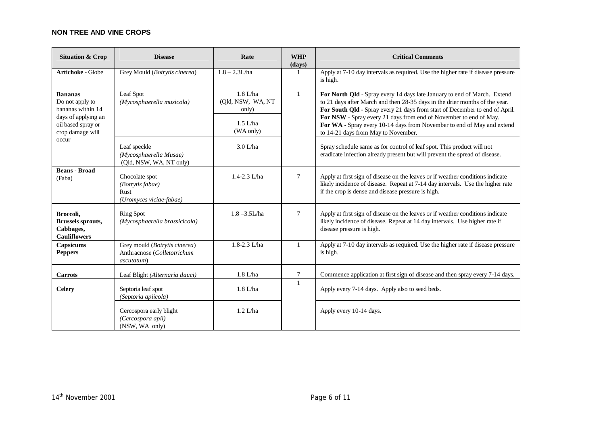#### **NON TREE AND VINE CROPS**

| <b>Situation &amp; Crop</b>                                                                                                      | <b>Disease</b>                                                                     | Rate                                                                | <b>WHP</b><br>(days) | <b>Critical Comments</b>                                                                                                                                                                                                                                                                                                                                                                                                     |
|----------------------------------------------------------------------------------------------------------------------------------|------------------------------------------------------------------------------------|---------------------------------------------------------------------|----------------------|------------------------------------------------------------------------------------------------------------------------------------------------------------------------------------------------------------------------------------------------------------------------------------------------------------------------------------------------------------------------------------------------------------------------------|
| <b>Artichoke - Globe</b>                                                                                                         | Grey Mould (Botrytis cinerea)                                                      | $1.8 - 2.3L/ha$                                                     | 1                    | Apply at 7-10 day intervals as required. Use the higher rate if disease pressure<br>is high.                                                                                                                                                                                                                                                                                                                                 |
| <b>Bananas</b><br>Do not apply to<br>bananas within 14<br>days of applying an<br>oil based spray or<br>crop damage will<br>occur | Leaf Spot<br>(Mycosphaerella musicola)                                             | $1.8$ L/ha<br>(Qld, NSW, WA, NT<br>only)<br>$1.5$ L/ha<br>(WA only) | $\mathbf{1}$         | For North Qld - Spray every 14 days late January to end of March. Extend<br>to 21 days after March and then 28-35 days in the drier months of the year.<br>For South Qld - Spray every 21 days from start of December to end of April.<br>For NSW - Spray every 21 days from end of November to end of May.<br>For WA - Spray every 10-14 days from November to end of May and extend<br>to 14-21 days from May to November. |
|                                                                                                                                  | Leaf speckle<br>(Mycosphaerella Musae)<br>(Qld, NSW, WA, NT only)                  | $3.0$ L/ha                                                          |                      | Spray schedule same as for control of leaf spot. This product will not<br>eradicate infection already present but will prevent the spread of disease.                                                                                                                                                                                                                                                                        |
| <b>Beans - Broad</b><br>(Faba)                                                                                                   | Chocolate spot<br>(Botrytis fabae)<br><b>Rust</b><br>(Uromyces viciae-fabae)       | 1.4-2.3 L/ha                                                        | $\overline{7}$       | Apply at first sign of disease on the leaves or if weather conditions indicate<br>likely incidence of disease. Repeat at 7-14 day intervals. Use the higher rate<br>if the crop is dense and disease pressure is high.                                                                                                                                                                                                       |
| Broccoli,<br><b>Brussels sprouts,</b><br>Cabbages,<br><b>Cauliflowers</b>                                                        | <b>Ring Spot</b><br>(Mycosphaerella brassicicola)                                  | $1.8 - 3.5L/ha$                                                     | $\overline{7}$       | Apply at first sign of disease on the leaves or if weather conditions indicate<br>likely incidence of disease. Repeat at 14 day intervals. Use higher rate if<br>disease pressure is high.                                                                                                                                                                                                                                   |
| Capsicums<br><b>Peppers</b>                                                                                                      | Grey mould (Botrytis cinerea)<br>Anthracnose (Colletotrichum<br><i>ascutatum</i> ) | 1.8-2.3 L/ha                                                        | 1                    | Apply at 7-10 day intervals as required. Use the higher rate if disease pressure<br>is high.                                                                                                                                                                                                                                                                                                                                 |
| <b>Carrots</b>                                                                                                                   | Leaf Blight (Alternaria dauci)                                                     | $1.8$ L/ha                                                          | 7                    | Commence application at first sign of disease and then spray every 7-14 days.                                                                                                                                                                                                                                                                                                                                                |
| <b>Celery</b>                                                                                                                    | Septoria leaf spot<br>(Septoria apiicola)                                          | $1.8$ L/ha                                                          | $\mathbf{1}$         | Apply every 7-14 days. Apply also to seed beds.                                                                                                                                                                                                                                                                                                                                                                              |
|                                                                                                                                  | Cercospora early blight<br>(Cercospora apii)<br>(NSW, WA only)                     | $1.2$ L/ha                                                          |                      | Apply every 10-14 days.                                                                                                                                                                                                                                                                                                                                                                                                      |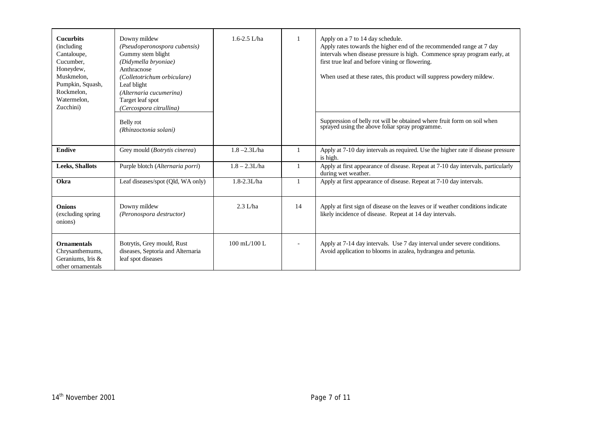| <b>Cucurbits</b><br>(including)<br>Cantaloupe,<br>Cucumber.<br>Honeydew,<br>Muskmelon,<br>Pumpkin, Squash,<br>Rockmelon.<br>Watermelon.<br>Zucchini) | Downy mildew<br>(Pseudoperonospora cubensis)<br>Gummy stem blight<br>(Didymella bryoniae)<br>Anthracnose<br>(Colletotrichum orbiculare)<br>Leaf blight<br>(Alternaria cucumerina)<br>Target leaf spot<br>(Cercospora citrullina) | $1.6 - 2.5$ L/ha                 |                | Apply on a 7 to 14 day schedule.<br>Apply rates towards the higher end of the recommended range at 7 day<br>intervals when disease pressure is high. Commence spray program early, at<br>first true leaf and before vining or flowering.<br>When used at these rates, this product will suppress powdery mildew. |
|------------------------------------------------------------------------------------------------------------------------------------------------------|----------------------------------------------------------------------------------------------------------------------------------------------------------------------------------------------------------------------------------|----------------------------------|----------------|------------------------------------------------------------------------------------------------------------------------------------------------------------------------------------------------------------------------------------------------------------------------------------------------------------------|
|                                                                                                                                                      | Belly rot<br>(Rhinzoctonia solani)                                                                                                                                                                                               |                                  |                | Suppression of belly rot will be obtained where fruit form on soil when<br>sprayed using the above foliar spray programme.                                                                                                                                                                                       |
| <b>Endive</b>                                                                                                                                        | Grey mould (Botrytis cinerea)                                                                                                                                                                                                    | $1.8 - 2.3L/ha$                  |                | Apply at 7-10 day intervals as required. Use the higher rate if disease pressure<br>is high.                                                                                                                                                                                                                     |
| <b>Leeks, Shallots</b>                                                                                                                               | Purple blotch (Alternaria porri)                                                                                                                                                                                                 | $1.8 - 2.3L/ha$                  |                | Apply at first appearance of disease. Repeat at 7-10 day intervals, particularly<br>during wet weather.                                                                                                                                                                                                          |
| Okra                                                                                                                                                 | Leaf diseases/spot (Qld, WA only)                                                                                                                                                                                                | 1.8-2.3L/ha                      |                | Apply at first appearance of disease. Repeat at 7-10 day intervals.                                                                                                                                                                                                                                              |
| <b>Onions</b><br>(excluding spring<br>onions)                                                                                                        | Downy mildew<br>(Peronospora destructor)                                                                                                                                                                                         | $2.3$ L/ha                       | 14             | Apply at first sign of disease on the leaves or if weather conditions indicate<br>likely incidence of disease. Repeat at 14 day intervals.                                                                                                                                                                       |
| <b>Ornamentals</b><br>Chrysanthemums,<br>Geraniums, Iris &<br>other ornamentals                                                                      | Botrytis, Grey mould, Rust<br>diseases, Septoria and Alternaria<br>leaf spot diseases                                                                                                                                            | $100 \text{ mL} / 100 \text{ L}$ | $\blacksquare$ | Apply at 7-14 day intervals. Use 7 day interval under severe conditions.<br>Avoid application to blooms in azalea, hydrangea and petunia.                                                                                                                                                                        |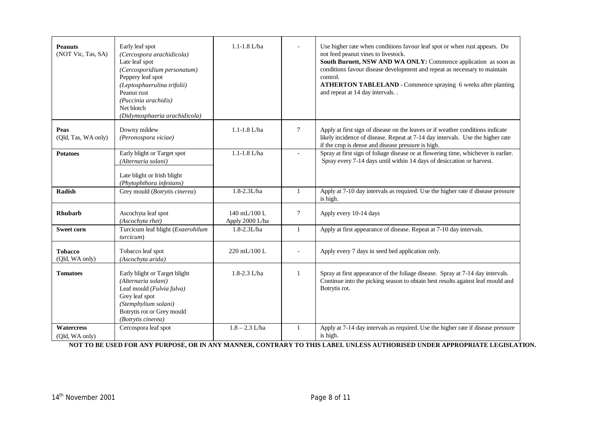| <b>Peanuts</b><br>(NOT Vic, Tas, SA) | Early leaf spot<br>(Cercospora arachidicola)<br>Late leaf spot<br>(Cercosporidium personatum)<br>Peppery leaf spot<br>(Leptosphaerulina trifolii)<br>Peanut rust<br>(Puccinia arachidis)<br>Net blotch<br>(Didymosphaeria arachidicola) | $1.1 - 1.8$ L/ha                                    |              | Use higher rate when conditions favour leaf spot or when rust appears. Do<br>not feed peanut vines to livestock.<br>South Burnett, NSW AND WA ONLY: Commence application as soon as<br>conditions favour disease development and repeat as necessary to maintain<br>control.<br><b>ATHERTON TABLELAND - Commence spraying 6 weeks after planting</b><br>and repeat at 14 day intervals |
|--------------------------------------|-----------------------------------------------------------------------------------------------------------------------------------------------------------------------------------------------------------------------------------------|-----------------------------------------------------|--------------|----------------------------------------------------------------------------------------------------------------------------------------------------------------------------------------------------------------------------------------------------------------------------------------------------------------------------------------------------------------------------------------|
| Peas<br>(Qld, Tas, WA only)          | Downy mildew<br>(Peronospora viciae)                                                                                                                                                                                                    | $1.1 - 1.8$ L/ha                                    | $\tau$       | Apply at first sign of disease on the leaves or if weather conditions indicate<br>likely incidence of disease. Repeat at 7-14 day intervals. Use the higher rate<br>if the crop is dense and disease pressure is high.                                                                                                                                                                 |
| <b>Potatoes</b>                      | Early blight or Target spot<br>(Alternaria solani)<br>Late blight or Irish blight<br>(Phytophthora infestans)                                                                                                                           | $1.1 - 1.8$ L/ha                                    | $\mathbf{r}$ | Spray at first sign of foliage disease or at flowering time, whichever is earlier.<br>Spray every 7-14 days until within 14 days of desiccation or harvest.                                                                                                                                                                                                                            |
| Radish                               | Grey mould (Botrytis cinerea)                                                                                                                                                                                                           | 1.8-2.3L/ha                                         | $\mathbf{1}$ | Apply at 7-10 day intervals as required. Use the higher rate if disease pressure<br>is high.                                                                                                                                                                                                                                                                                           |
| <b>Rhubarb</b>                       | Ascochyta leaf spot<br>(Ascochyta rhei)                                                                                                                                                                                                 | $140 \text{ mL} / 100 \text{ L}$<br>Apply 2000 L/ha | $\tau$       | Apply every 10-14 days                                                                                                                                                                                                                                                                                                                                                                 |
| <b>Sweet corn</b>                    | Turcicum leaf blight (Exaerohilum<br>turcicum)                                                                                                                                                                                          | $1.8 - 2.3L/ha$                                     | 1            | Apply at first appearance of disease. Repeat at 7-10 day intervals.                                                                                                                                                                                                                                                                                                                    |
| <b>Tobacco</b><br>(Qld, WA only)     | Tobacco leaf spot<br>(Ascochyta arida)                                                                                                                                                                                                  | 220 mL/100 L                                        |              | Apply every 7 days in seed bed application only.                                                                                                                                                                                                                                                                                                                                       |
| <b>Tomatoes</b>                      | Early blight or Target blight<br>(Alternaria solani)<br>Leaf mould (Fulvia fulva)<br>Grey leaf spot<br>(Stemphylium solani)<br>Botrytis rot or Grey mould<br>(Botrytis cinerea)                                                         | 1.8-2.3 L/ha                                        | $\mathbf{1}$ | Spray at first appearance of the foliage disease. Spray at 7-14 day intervals.<br>Continue into the picking season to obtain best results against leaf mould and<br>Botrytis rot.                                                                                                                                                                                                      |
| Watercress<br>(Qld, WA only)         | Cercospora leaf spot                                                                                                                                                                                                                    | $1.8 - 2.3$ L/ha                                    | $\mathbf{1}$ | Apply at 7-14 day intervals as required. Use the higher rate if disease pressure<br>is high.                                                                                                                                                                                                                                                                                           |

NOT TO BE USED FOR ANY PURPOSE, OR IN ANY MANNER, CONTRARY TO THIS LABEL UNLESS AUTHORISED UNDER APPROPRIATE LEGISLATION.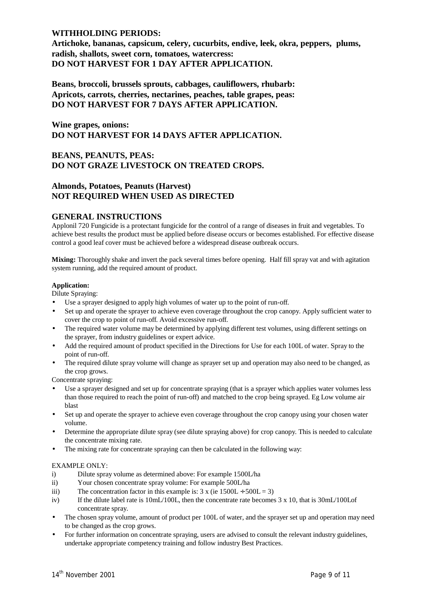### **WITHHOLDING PERIODS:**

**Artichoke, bananas, capsicum, celery, cucurbits, endive, leek, okra, peppers, plums, radish, shallots, sweet corn, tomatoes, watercress: DO NOT HARVEST FOR 1 DAY AFTER APPLICATION.** 

**Beans, broccoli, brussels sprouts, cabbages, cauliflowers, rhubarb: Apricots, carrots, cherries, nectarines, peaches, table grapes, peas: DO NOT HARVEST FOR 7 DAYS AFTER APPLICATION.** 

**Wine grapes, onions: DO NOT HARVEST FOR 14 DAYS AFTER APPLICATION.** 

## **BEANS, PEANUTS, PEAS: DO NOT GRAZE LIVESTOCK ON TREATED CROPS.**

### **Almonds, Potatoes, Peanuts (Harvest) NOT REQUIRED WHEN USED AS DIRECTED**

#### **GENERAL INSTRUCTIONS**

Applonil 720 Fungicide is a protectant fungicide for the control of a range of diseases in fruit and vegetables. To achieve best results the product must be applied before disease occurs or becomes established. For effective disease control a good leaf cover must be achieved before a widespread disease outbreak occurs.

**Mixing:** Thoroughly shake and invert the pack several times before opening. Half fill spray vat and with agitation system running, add the required amount of product.

#### **Application:**

Dilute Spraying:

- Use a sprayer designed to apply high volumes of water up to the point of run-off.
- Set up and operate the sprayer to achieve even coverage throughout the crop canopy. Apply sufficient water to cover the crop to point of run-off. Avoid excessive run-off.
- The required water volume may be determined by applying different test volumes, using different settings on the sprayer, from industry guidelines or expert advice.
- Add the required amount of product specified in the Directions for Use for each 100L of water. Spray to the point of run-off.
- The required dilute spray volume will change as sprayer set up and operation may also need to be changed, as the crop grows.

Concentrate spraying:

- Use a sprayer designed and set up for concentrate spraying (that is a sprayer which applies water volumes less than those required to reach the point of run-off) and matched to the crop being sprayed. Eg Low volume air blast
- Set up and operate the sprayer to achieve even coverage throughout the crop canopy using your chosen water volume.
- Determine the appropriate dilute spray (see dilute spraying above) for crop canopy. This is needed to calculate the concentrate mixing rate.
- The mixing rate for concentrate spraying can then be calculated in the following way:

#### EXAMPLE ONLY:

- i) Dilute spray volume as determined above: For example 1500L/ha
- ii) Your chosen concentrate spray volume: For example 500L/ha
- iii) The concentration factor in this example is:  $3 \times (ie 1500L \div 500L = 3)$
- iv) If the dilute label rate is 10mL/100L, then the concentrate rate becomes 3 x 10, that is 30mL/100Lof concentrate spray.
- The chosen spray volume, amount of product per 100L of water, and the sprayer set up and operation may need to be changed as the crop grows.
- For further information on concentrate spraying, users are advised to consult the relevant industry guidelines, undertake appropriate competency training and follow industry Best Practices.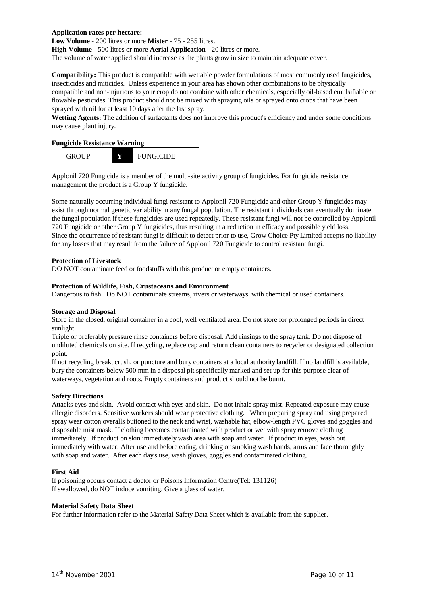#### **Application rates per hectare:**

**Low Volume** - 200 litres or more **Mister** - 75 - 255 litres.

**High Volume** - 500 litres or more **Aerial Application** - 20 litres or more.

The volume of water applied should increase as the plants grow in size to maintain adequate cover.

**Compatibility:** This product is compatible with wettable powder formulations of most commonly used fungicides, insecticides and miticides. Unless experience in your area has shown other combinations to be physically compatible and non-injurious to your crop do not combine with other chemicals, especially oil-based emulsifiable or flowable pesticides. This product should not be mixed with spraying oils or sprayed onto crops that have been sprayed with oil for at least 10 days after the last spray.

**Wetting Agents:** The addition of surfactants does not improve this product's efficiency and under some conditions may cause plant injury.

#### **Fungicide Resistance Warning**



Applonil 720 Fungicide is a member of the multi-site activity group of fungicides. For fungicide resistance management the product is a Group Y fungicide.

Some naturally occurring individual fungi resistant to Applonil 720 Fungicide and other Group Y fungicides may exist through normal genetic variability in any fungal population. The resistant individuals can eventually dominate the fungal population if these fungicides are used repeatedly. These resistant fungi will not be controlled by Applonil 720 Fungicide or other Group Y fungicides, thus resulting in a reduction in efficacy and possible yield loss. Since the occurrence of resistant fungi is difficult to detect prior to use, Grow Choice Pty Limited accepts no liability for any losses that may result from the failure of Applonil 720 Fungicide to control resistant fungi.

#### **Protection of Livestock**

DO NOT contaminate feed or foodstuffs with this product or empty containers.

#### **Protection of Wildlife, Fish, Crustaceans and Environment**

Dangerous to fish. Do NOT contaminate streams, rivers or waterways with chemical or used containers.

#### **Storage and Disposal**

Store in the closed, original container in a cool, well ventilated area. Do not store for prolonged periods in direct sunlight.

Triple or preferably pressure rinse containers before disposal. Add rinsings to the spray tank. Do not dispose of undiluted chemicals on site. If recycling, replace cap and return clean containers to recycler or designated collection point.

If not recycling break, crush, or puncture and bury containers at a local authority landfill. If no landfill is available, bury the containers below 500 mm in a disposal pit specifically marked and set up for this purpose clear of waterways, vegetation and roots. Empty containers and product should not be burnt.

#### **Safety Directions**

Attacks eyes and skin. Avoid contact with eyes and skin. Do not inhale spray mist. Repeated exposure may cause allergic disorders. Sensitive workers should wear protective clothing. When preparing spray and using prepared spray wear cotton overalls buttoned to the neck and wrist, washable hat, elbow-length PVC gloves and goggles and disposable mist mask. If clothing becomes contaminated with product or wet with spray remove clothing immediately. If product on skin immediately wash area with soap and water. If product in eyes, wash out immediately with water. After use and before eating, drinking or smoking wash hands, arms and face thoroughly with soap and water. After each day's use, wash gloves, goggles and contaminated clothing.

#### **First Aid**

If poisoning occurs contact a doctor or Poisons Information Centre(Tel: 131126) If swallowed, do NOT induce vomiting. Give a glass of water.

#### **Material Safety Data Sheet**

For further information refer to the Material Safety Data Sheet which is available from the supplier.